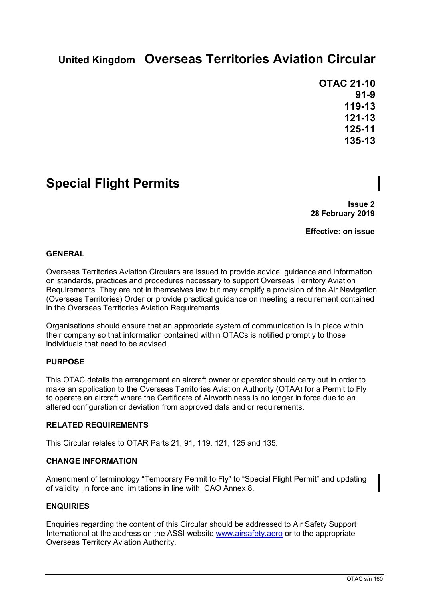# **United Kingdom Overseas Territories Aviation Circular**

**OTAC 21-10 91-9 119-13 121-13 125-11 135-13**

# **Special Flight Permits**

**Issue 2 28 February 2019**

**Effective: on issue**

#### **GENERAL**

Overseas Territories Aviation Circulars are issued to provide advice, guidance and information on standards, practices and procedures necessary to support Overseas Territory Aviation Requirements. They are not in themselves law but may amplify a provision of the Air Navigation (Overseas Territories) Order or provide practical guidance on meeting a requirement contained in the Overseas Territories Aviation Requirements.

Organisations should ensure that an appropriate system of communication is in place within their company so that information contained within OTACs is notified promptly to those individuals that need to be advised.

#### **PURPOSE**

This OTAC details the arrangement an aircraft owner or operator should carry out in order to make an application to the Overseas Territories Aviation Authority (OTAA) for a Permit to Fly to operate an aircraft where the Certificate of Airworthiness is no longer in force due to an altered configuration or deviation from approved data and or requirements.

#### **RELATED REQUIREMENTS**

This Circular relates to OTAR Parts 21, 91, 119, 121, 125 and 135.

#### **CHANGE INFORMATION**

Amendment of terminology "Temporary Permit to Fly" to "Special Flight Permit" and updating of validity, in force and limitations in line with ICAO Annex 8.

#### **ENQUIRIES**

Enquiries regarding the content of this Circular should be addressed to Air Safety Support International at the address on the ASSI website [www.airsafety.aero](http://www.airsafety.aero/) or to the appropriate Overseas Territory Aviation Authority.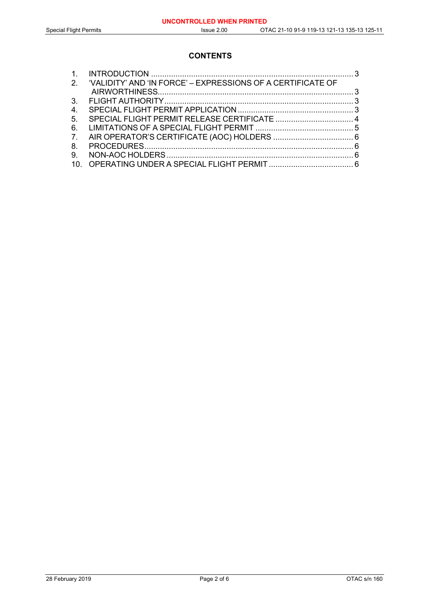## **CONTENTS**

|    | 2. 'VALIDITY' AND 'IN FORCE' - EXPRESSIONS OF A CERTIFICATE OF |  |
|----|----------------------------------------------------------------|--|
|    |                                                                |  |
|    |                                                                |  |
| 4. |                                                                |  |
| 5. |                                                                |  |
| 6. |                                                                |  |
| 7. |                                                                |  |
| 8. |                                                                |  |
| 9. |                                                                |  |
|    |                                                                |  |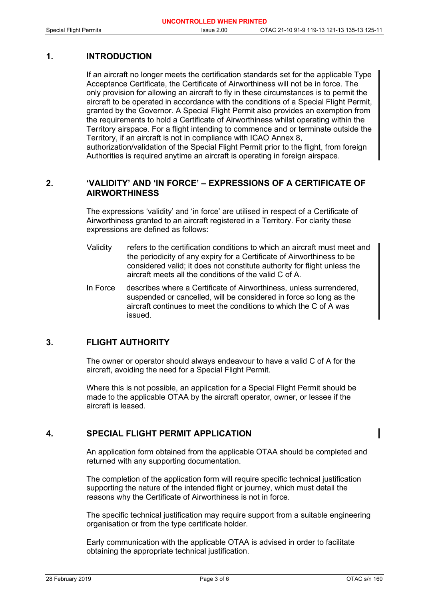## **1. INTRODUCTION**

If an aircraft no longer meets the certification standards set for the applicable Type Acceptance Certificate, the Certificate of Airworthiness will not be in force. The only provision for allowing an aircraft to fly in these circumstances is to permit the aircraft to be operated in accordance with the conditions of a Special Flight Permit, granted by the Governor. A Special Flight Permit also provides an exemption from the requirements to hold a Certificate of Airworthiness whilst operating within the Territory airspace. For a flight intending to commence and or terminate outside the Territory, if an aircraft is not in compliance with ICAO Annex 8, authorization/validation of the Special Flight Permit prior to the flight, from foreign Authorities is required anytime an aircraft is operating in foreign airspace.

## **2. 'VALIDITY' AND 'IN FORCE' – EXPRESSIONS OF A CERTIFICATE OF AIRWORTHINESS**

The expressions 'validity' and 'in force' are utilised in respect of a Certificate of Airworthiness granted to an aircraft registered in a Territory. For clarity these expressions are defined as follows:

- Validity refers to the certification conditions to which an aircraft must meet and the periodicity of any expiry for a Certificate of Airworthiness to be considered valid; it does not constitute authority for flight unless the aircraft meets all the conditions of the valid C of A.
- In Force describes where a Certificate of Airworthiness, unless surrendered, suspended or cancelled, will be considered in force so long as the aircraft continues to meet the conditions to which the C of A was issued.

## **3. FLIGHT AUTHORITY**

The owner or operator should always endeavour to have a valid C of A for the aircraft, avoiding the need for a Special Flight Permit.

Where this is not possible, an application for a Special Flight Permit should be made to the applicable OTAA by the aircraft operator, owner, or lessee if the aircraft is leased.

## **4. SPECIAL FLIGHT PERMIT APPLICATION**

An application form obtained from the applicable OTAA should be completed and returned with any supporting documentation.

The completion of the application form will require specific technical justification supporting the nature of the intended flight or journey, which must detail the reasons why the Certificate of Airworthiness is not in force.

The specific technical justification may require support from a suitable engineering organisation or from the type certificate holder.

Early communication with the applicable OTAA is advised in order to facilitate obtaining the appropriate technical justification.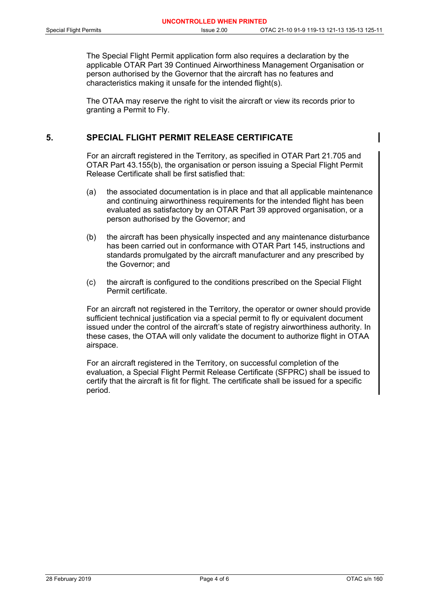The Special Flight Permit application form also requires a declaration by the applicable OTAR Part 39 Continued Airworthiness Management Organisation or person authorised by the Governor that the aircraft has no features and characteristics making it unsafe for the intended flight(s).

The OTAA may reserve the right to visit the aircraft or view its records prior to granting a Permit to Fly.

## **5. SPECIAL FLIGHT PERMIT RELEASE CERTIFICATE**

For an aircraft registered in the Territory, as specified in OTAR Part 21.705 and OTAR Part 43.155(b), the organisation or person issuing a Special Flight Permit Release Certificate shall be first satisfied that:

- (a) the associated documentation is in place and that all applicable maintenance and continuing airworthiness requirements for the intended flight has been evaluated as satisfactory by an OTAR Part 39 approved organisation, or a person authorised by the Governor; and
- (b) the aircraft has been physically inspected and any maintenance disturbance has been carried out in conformance with OTAR Part 145, instructions and standards promulgated by the aircraft manufacturer and any prescribed by the Governor; and
- (c) the aircraft is configured to the conditions prescribed on the Special Flight Permit certificate.

For an aircraft not registered in the Territory, the operator or owner should provide sufficient technical justification via a special permit to fly or equivalent document issued under the control of the aircraft's state of registry airworthiness authority. In these cases, the OTAA will only validate the document to authorize flight in OTAA airspace.

For an aircraft registered in the Territory, on successful completion of the evaluation, a Special Flight Permit Release Certificate (SFPRC) shall be issued to certify that the aircraft is fit for flight. The certificate shall be issued for a specific period.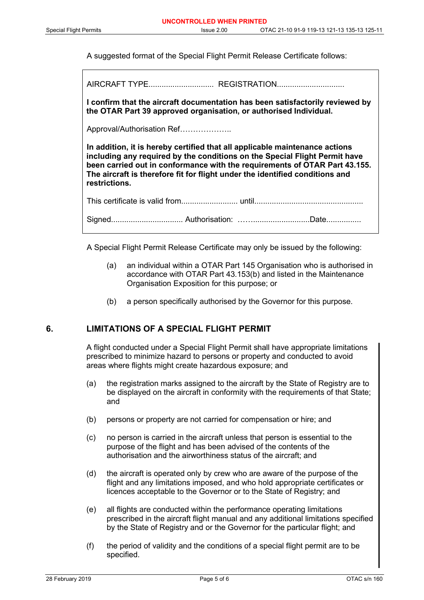A suggested format of the Special Flight Permit Release Certificate follows:

AIRCRAFT TYPE.............................. REGISTRATION...............................

**I confirm that the aircraft documentation has been satisfactorily reviewed by the OTAR Part 39 approved organisation, or authorised Individual.**

Approval/Authorisation Ref………………..

**In addition, it is hereby certified that all applicable maintenance actions including any required by the conditions on the Special Flight Permit have been carried out in conformance with the requirements of OTAR Part 43.155. The aircraft is therefore fit for flight under the identified conditions and restrictions.**

This certificate is valid from.......................... until.................................................. Signed................................. Authorisation: ……..........................Date................

A Special Flight Permit Release Certificate may only be issued by the following:

- (a) an individual within a OTAR Part 145 Organisation who is authorised in accordance with OTAR Part 43.153(b) and listed in the Maintenance Organisation Exposition for this purpose; or
- (b) a person specifically authorised by the Governor for this purpose.

#### **6. LIMITATIONS OF A SPECIAL FLIGHT PERMIT**

A flight conducted under a Special Flight Permit shall have appropriate limitations prescribed to minimize hazard to persons or property and conducted to avoid areas where flights might create hazardous exposure; and

- (a) the registration marks assigned to the aircraft by the State of Registry are to be displayed on the aircraft in conformity with the requirements of that State; and
- (b) persons or property are not carried for compensation or hire; and
- (c) no person is carried in the aircraft unless that person is essential to the purpose of the flight and has been advised of the contents of the authorisation and the airworthiness status of the aircraft; and
- (d) the aircraft is operated only by crew who are aware of the purpose of the flight and any limitations imposed, and who hold appropriate certificates or licences acceptable to the Governor or to the State of Registry; and
- (e) all flights are conducted within the performance operating limitations prescribed in the aircraft flight manual and any additional limitations specified by the State of Registry and or the Governor for the particular flight; and
- (f) the period of validity and the conditions of a special flight permit are to be specified.